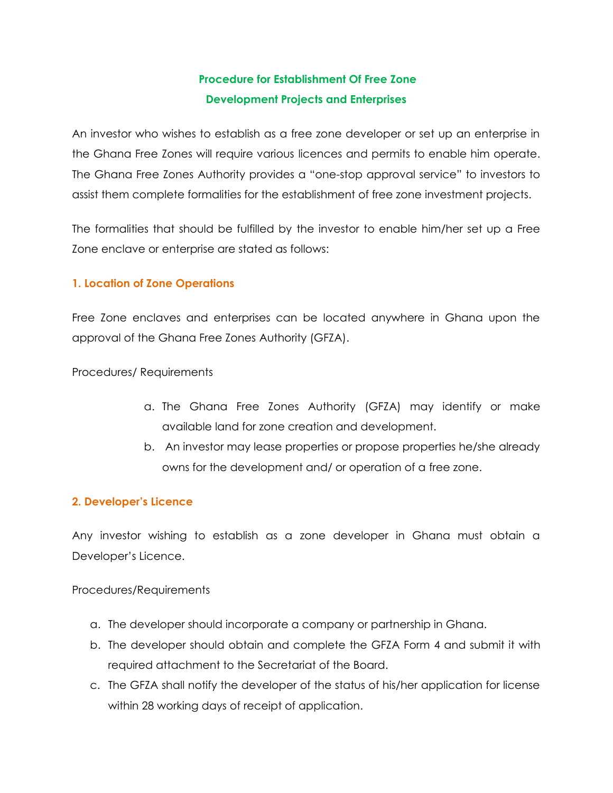# **Procedure for Establishment Of Free Zone Development Projects and Enterprises**

An investor who wishes to establish as a free zone developer or set up an enterprise in the Ghana Free Zones will require various licences and permits to enable him operate. The Ghana Free Zones Authority provides a "one-stop approval service" to investors to assist them complete formalities for the establishment of free zone investment projects.

The formalities that should be fulfilled by the investor to enable him/her set up a Free Zone enclave or enterprise are stated as follows:

## **1. Location of Zone Operations**

Free Zone enclaves and enterprises can be located anywhere in Ghana upon the approval of the Ghana Free Zones Authority (GFZA).

Procedures/ Requirements

- a. The Ghana Free Zones Authority (GFZA) may identify or make available land for zone creation and development.
- b. An investor may lease properties or propose properties he/she already owns for the development and/ or operation of a free zone.

## **2. Developer's Licence**

Any investor wishing to establish as a zone developer in Ghana must obtain a Developer's Licence.

## Procedures/Requirements

- a. The developer should incorporate a company or partnership in Ghana.
- b. The developer should obtain and complete the GFZA Form 4 and submit it with required attachment to the Secretariat of the Board.
- c. The GFZA shall notify the developer of the status of his/her application for license within 28 working days of receipt of application.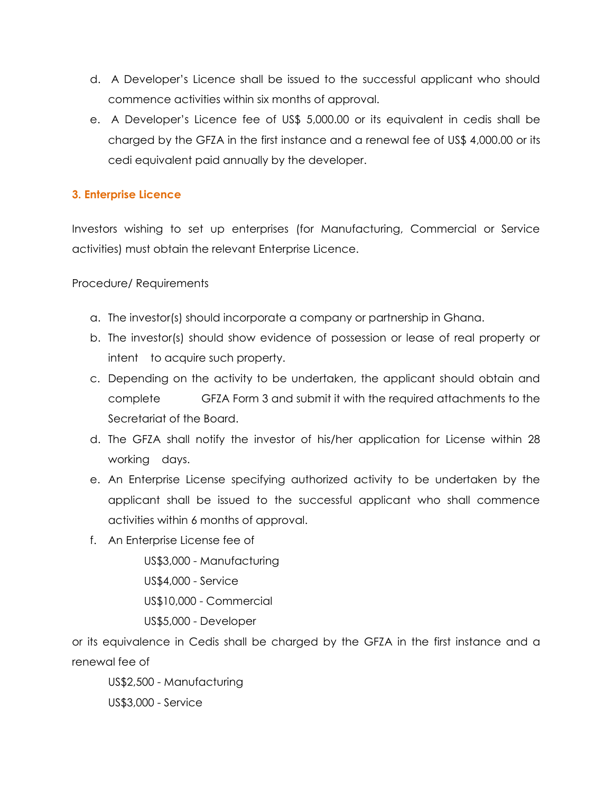- d. A Developer's Licence shall be issued to the successful applicant who should commence activities within six months of approval.
- e. A Developer's Licence fee of US\$ 5,000.00 or its equivalent in cedis shall be charged by the GFZA in the first instance and a renewal fee of US\$ 4,000.00 or its cedi equivalent paid annually by the developer.

## **3. Enterprise Licence**

Investors wishing to set up enterprises (for Manufacturing, Commercial or Service activities) must obtain the relevant Enterprise Licence.

Procedure/ Requirements

- a. The investor(s) should incorporate a company or partnership in Ghana.
- b. The investor(s) should show evidence of possession or lease of real property or intent to acquire such property.
- c. Depending on the activity to be undertaken, the applicant should obtain and complete GFZA Form 3 and submit it with the required attachments to the Secretariat of the Board.
- d. The GFZA shall notify the investor of his/her application for License within 28 working days.
- e. An Enterprise License specifying authorized activity to be undertaken by the applicant shall be issued to the successful applicant who shall commence activities within 6 months of approval.
- f. An Enterprise License fee of

US\$3,000 - Manufacturing US\$4,000 - Service US\$10,000 - Commercial US\$5,000 - Developer

or its equivalence in Cedis shall be charged by the GFZA in the first instance and a renewal fee of

US\$2,500 - Manufacturing US\$3,000 - Service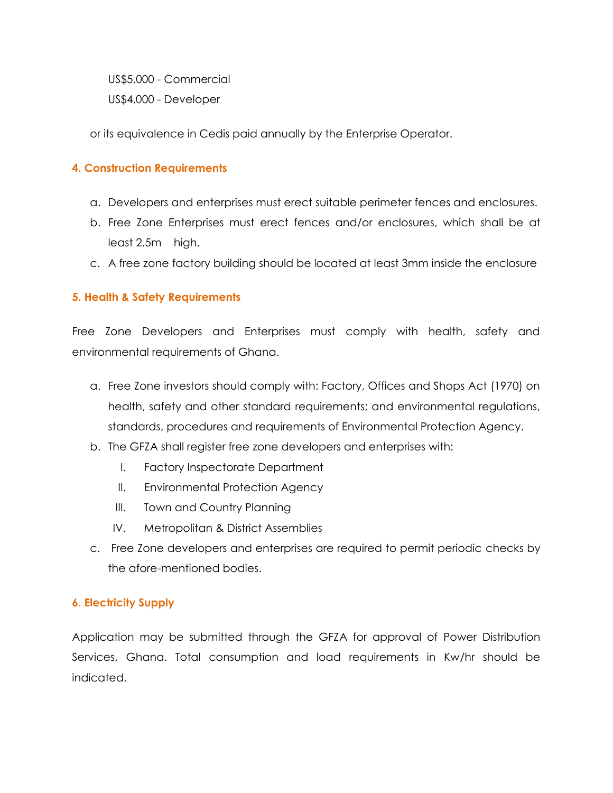US\$5,000 - Commercial

US\$4,000 - Developer

or its equivalence in Cedis paid annually by the Enterprise Operator.

## **4. Construction Requirements**

- a. Developers and enterprises must erect suitable perimeter fences and enclosures.
- b. Free Zone Enterprises must erect fences and/or enclosures, which shall be at least 2.5m high.
- c. A free zone factory building should be located at least 3mm inside the enclosure

## **5. Health & Safety Requirements**

Free Zone Developers and Enterprises must comply with health, safety and environmental requirements of Ghana.

- a. Free Zone investors should comply with: Factory, Offices and Shops Act (1970) on health, safety and other standard requirements; and environmental regulations, standards, procedures and requirements of Environmental Protection Agency.
- b. The GFZA shall register free zone developers and enterprises with:
	- I. Factory Inspectorate Department
	- II. Environmental Protection Agency
	- III. Town and Country Planning
	- IV. Metropolitan & District Assemblies
- c. Free Zone developers and enterprises are required to permit periodic checks by the afore-mentioned bodies.

#### **6. Electricity Supply**

Application may be submitted through the GFZA for approval of Power Distribution Services, Ghana. Total consumption and load requirements in Kw/hr should be indicated.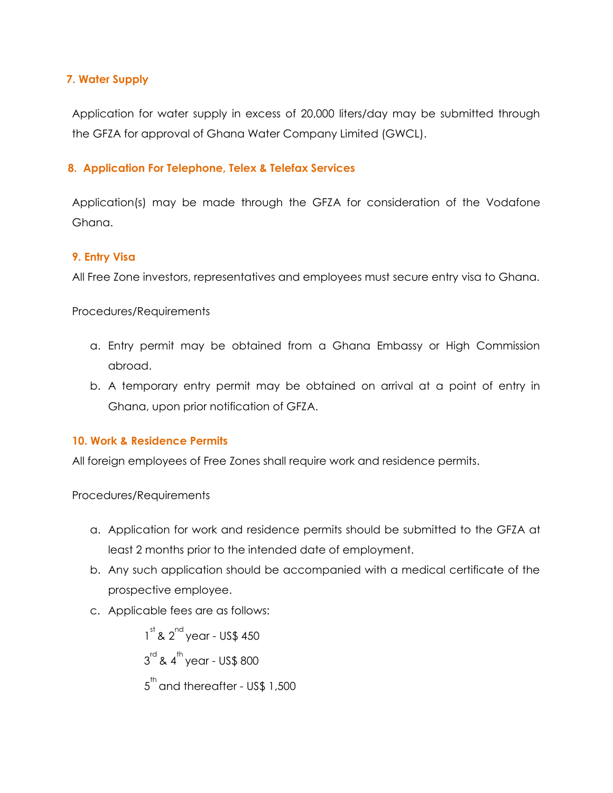## **7. Water Supply**

Application for water supply in excess of 20,000 liters/day may be submitted through the GFZA for approval of Ghana Water Company Limited (GWCL).

## **8. Application For Telephone, Telex & Telefax Services**

Application(s) may be made through the GFZA for consideration of the Vodafone Ghana.

## **9. Entry Visa**

All Free Zone investors, representatives and employees must secure entry visa to Ghana.

Procedures/Requirements

- a. Entry permit may be obtained from a Ghana Embassy or High Commission abroad.
- b. A temporary entry permit may be obtained on arrival at a point of entry in Ghana, upon prior notification of GFZA.

## **10. Work & Residence Permits**

All foreign employees of Free Zones shall require work and residence permits.

Procedures/Requirements

- a. Application for work and residence permits should be submitted to the GFZA at least 2 months prior to the intended date of employment.
- b. Any such application should be accompanied with a medical certificate of the prospective employee.
- c. Applicable fees are as follows:

 $1<sup>st</sup>$  &  $2<sup>nd</sup>$  year - US\$ 450  $3^{\text{rd}}$  & 4 $^{\text{th}}$  year - US\$ 800  $5^{\text{th}}$  and thereafter - US\$ 1,500